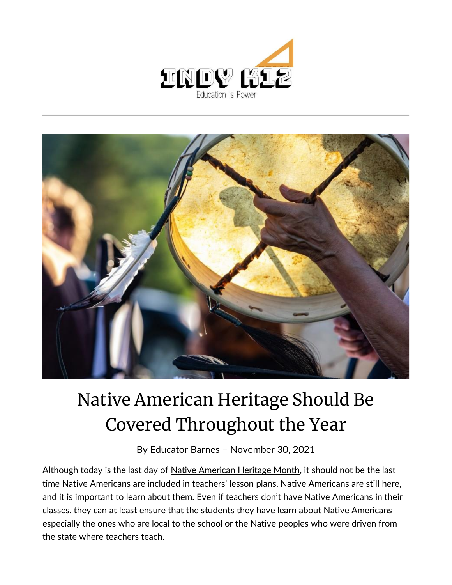



## Native American Heritage Should Be Covered Throughout the Year

By [Educator Barnes](https://indy.education/author/shicole/) – November 30, 2021

Although today is the last day of [Native American Heritage Month,](https://nativeamericanheritagemonth.gov/) it should not be the last time Native Americans are included in teachers' lesson plans. Native Americans are still here, and it is important to learn about them. Even if teachers don't have Native Americans in their classes, they can at least ensure that the students they have learn about Native Americans especially the ones who are local to the school or the Native peoples who were driven from the state where teachers teach.